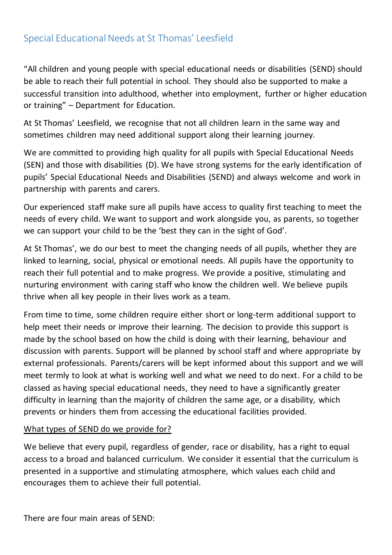# Special Educational Needs at St Thomas' Leesfield

"All children and young people with special educational needs or disabilities (SEND) should be able to reach their full potential in school. They should also be supported to make a successful transition into adulthood, whether into employment, further or higher education or training" – Department for Education.

At St Thomas' Leesfield, we recognise that not all children learn in the same way and sometimes children may need additional support along their learning journey.

We are committed to providing high quality for all pupils with Special Educational Needs (SEN) and those with disabilities (D). We have strong systems for the early identification of pupils' Special Educational Needs and Disabilities (SEND) and always welcome and work in partnership with parents and carers.

Our experienced staff make sure all pupils have access to quality first teaching to meet the needs of every child. We want to support and work alongside you, as parents, so together we can support your child to be the 'best they can in the sight of God'.

At St Thomas', we do our best to meet the changing needs of all pupils, whether they are linked to learning, social, physical or emotional needs. All pupils have the opportunity to reach their full potential and to make progress. We provide a positive, stimulating and nurturing environment with caring staff who know the children well. We believe pupils thrive when all key people in their lives work as a team.

From time to time, some children require either short or long-term additional support to help meet their needs or improve their learning. The decision to provide this support is made by the school based on how the child is doing with their learning, behaviour and discussion with parents. Support will be planned by school staff and where appropriate by external professionals. Parents/carers will be kept informed about this support and we will meet termly to look at what is working well and what we need to do next. For a child to be classed as having special educational needs, they need to have a significantly greater difficulty in learning than the majority of children the same age, or a disability, which prevents or hinders them from accessing the educational facilities provided.

#### What types of SEND do we provide for?

We believe that every pupil, regardless of gender, race or disability, has a right to equal access to a broad and balanced curriculum. We consider it essential that the curriculum is presented in a supportive and stimulating atmosphere, which values each child and encourages them to achieve their full potential.

There are four main areas of SEND: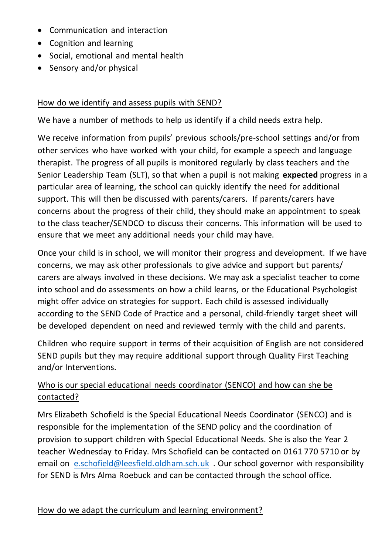- Communication and interaction
- Cognition and learning
- Social, emotional and mental health
- Sensory and/or physical

### How do we identify and assess pupils with SEND?

We have a number of methods to help us identify if a child needs extra help.

We receive information from pupils' previous schools/pre-school settings and/or from other services who have worked with your child, for example a speech and language therapist. The progress of all pupils is monitored regularly by class teachers and the Senior Leadership Team (SLT), so that when a pupil is not making **expected** progress in a particular area of learning, the school can quickly identify the need for additional support. This will then be discussed with parents/carers. If parents/carers have concerns about the progress of their child, they should make an appointment to speak to the class teacher/SENDCO to discuss their concerns. This information will be used to ensure that we meet any additional needs your child may have.

Once your child is in school, we will monitor their progress and development. If we have concerns, we may ask other professionals to give advice and support but parents/ carers are always involved in these decisions. We may ask a specialist teacher to come into school and do assessments on how a child learns, or the Educational Psychologist might offer advice on strategies for support. Each child is assessed individually according to the SEND Code of Practice and a personal, child-friendly target sheet will be developed dependent on need and reviewed termly with the child and parents.

Children who require support in terms of their acquisition of English are not considered SEND pupils but they may require additional support through Quality First Teaching and/or Interventions.

### Who is our special educational needs coordinator (SENCO) and how can she be contacted?

Mrs Elizabeth Schofield is the Special Educational Needs Coordinator (SENCO) and is responsible for the implementation of the SEND policy and the coordination of provision to support children with Special Educational Needs. She is also the Year 2 teacher Wednesday to Friday. Mrs Schofield can be contacted on 0161 770 5710 or by email on [e.schofield@leesfield.oldham.sch.uk](mailto:e.schofield@leesfield.oldham.sch.uk) . Our school governor with responsibility for SEND is Mrs Alma Roebuck and can be contacted through the school office.

### How do we adapt the curriculum and learning environment?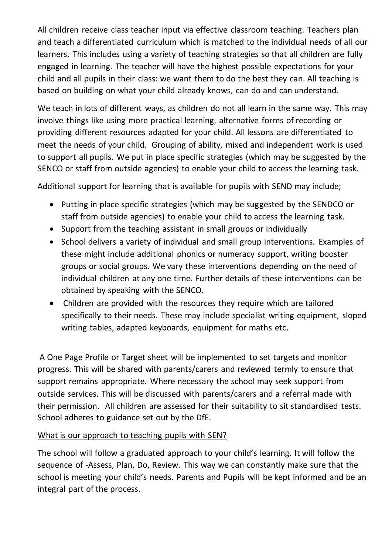All children receive class teacher input via effective classroom teaching. Teachers plan and teach a differentiated curriculum which is matched to the individual needs of all our learners. This includes using a variety of teaching strategies so that all children are fully engaged in learning. The teacher will have the highest possible expectations for your child and all pupils in their class: we want them to do the best they can. All teaching is based on building on what your child already knows, can do and can understand.

We teach in lots of different ways, as children do not all learn in the same way. This may involve things like using more practical learning, alternative forms of recording or providing different resources adapted for your child. All lessons are differentiated to meet the needs of your child. Grouping of ability, mixed and independent work is used to support all pupils. We put in place specific strategies (which may be suggested by the SENCO or staff from outside agencies) to enable your child to access the learning task.

Additional support for learning that is available for pupils with SEND may include;

- Putting in place specific strategies (which may be suggested by the SENDCO or staff from outside agencies) to enable your child to access the learning task.
- Support from the teaching assistant in small groups or individually
- School delivers a variety of individual and small group interventions. Examples of these might include additional phonics or numeracy support, writing booster groups or social groups. We vary these interventions depending on the need of individual children at any one time. Further details of these interventions can be obtained by speaking with the SENCO.
- Children are provided with the resources they require which are tailored specifically to their needs. These may include specialist writing equipment, sloped writing tables, adapted keyboards, equipment for maths etc.

A One Page Profile or Target sheet will be implemented to set targets and monitor progress. This will be shared with parents/carers and reviewed termly to ensure that support remains appropriate. Where necessary the school may seek support from outside services. This will be discussed with parents/carers and a referral made with their permission. All children are assessed for their suitability to sit standardised tests. School adheres to guidance set out by the DfE.

#### What is our approach to teaching pupils with SEN?

The school will follow a graduated approach to your child's learning. It will follow the sequence of -Assess, Plan, Do, Review. This way we can constantly make sure that the school is meeting your child's needs. Parents and Pupils will be kept informed and be an integral part of the process.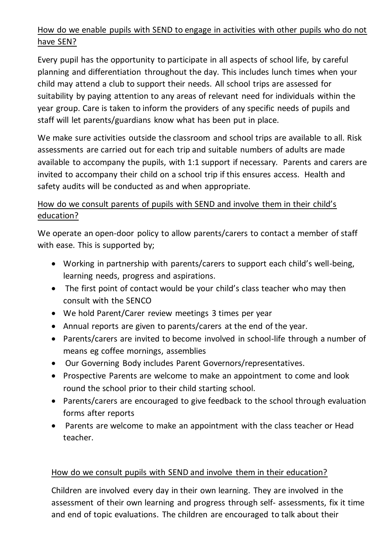## How do we enable pupils with SEND to engage in activities with other pupils who do not have SEN?

Every pupil has the opportunity to participate in all aspects of school life, by careful planning and differentiation throughout the day. This includes lunch times when your child may attend a club to support their needs. All school trips are assessed for suitability by paying attention to any areas of relevant need for individuals within the year group. Care is taken to inform the providers of any specific needs of pupils and staff will let parents/guardians know what has been put in place.

We make sure activities outside the classroom and school trips are available to all. Risk assessments are carried out for each trip and suitable numbers of adults are made available to accompany the pupils, with 1:1 support if necessary. Parents and carers are invited to accompany their child on a school trip if this ensures access. Health and safety audits will be conducted as and when appropriate.

## How do we consult parents of pupils with SEND and involve them in their child's education?

We operate an open-door policy to allow parents/carers to contact a member of staff with ease. This is supported by;

- Working in partnership with parents/carers to support each child's well-being, learning needs, progress and aspirations.
- The first point of contact would be your child's class teacher who may then consult with the SENCO
- We hold Parent/Carer review meetings 3 times per year
- Annual reports are given to parents/carers at the end of the year.
- Parents/carers are invited to become involved in school-life through a number of means eg coffee mornings, assemblies
- Our Governing Body includes Parent Governors/representatives.
- Prospective Parents are welcome to make an appointment to come and look round the school prior to their child starting school.
- Parents/carers are encouraged to give feedback to the school through evaluation forms after reports
- Parents are welcome to make an appointment with the class teacher or Head teacher.

### How do we consult pupils with SEND and involve them in their education?

Children are involved every day in their own learning. They are involved in the assessment of their own learning and progress through self- assessments, fix it time and end of topic evaluations. The children are encouraged to talk about their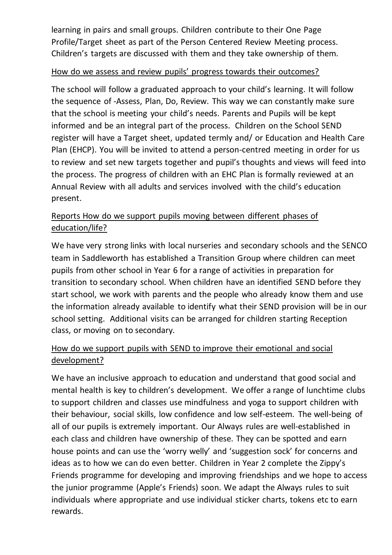learning in pairs and small groups. Children contribute to their One Page Profile/Target sheet as part of the Person Centered Review Meeting process. Children's targets are discussed with them and they take ownership of them.

#### How do we assess and review pupils' progress towards their outcomes?

The school will follow a graduated approach to your child's learning. It will follow the sequence of -Assess, Plan, Do, Review. This way we can constantly make sure that the school is meeting your child's needs. Parents and Pupils will be kept informed and be an integral part of the process. Children on the School SEND register will have a Target sheet, updated termly and/ or Education and Health Care Plan (EHCP). You will be invited to attend a person-centred meeting in order for us to review and set new targets together and pupil's thoughts and views will feed into the process. The progress of children with an EHC Plan is formally reviewed at an Annual Review with all adults and services involved with the child's education present.

## Reports How do we support pupils moving between different phases of education/life?

We have very strong links with local nurseries and secondary schools and the SENCO team in Saddleworth has established a Transition Group where children can meet pupils from other school in Year 6 for a range of activities in preparation for transition to secondary school. When children have an identified SEND before they start school, we work with parents and the people who already know them and use the information already available to identify what their SEND provision will be in our school setting. Additional visits can be arranged for children starting Reception class, or moving on to secondary.

## How do we support pupils with SEND to improve their emotional and social development?

We have an inclusive approach to education and understand that good social and mental health is key to children's development. We offer a range of lunchtime clubs to support children and classes use mindfulness and yoga to support children with their behaviour, social skills, low confidence and low self-esteem. The well-being of all of our pupils is extremely important. Our Always rules are well-established in each class and children have ownership of these. They can be spotted and earn house points and can use the 'worry welly' and 'suggestion sock' for concerns and ideas as to how we can do even better. Children in Year 2 complete the Zippy's Friends programme for developing and improving friendships and we hope to access the junior programme (Apple's Friends) soon. We adapt the Always rules to suit individuals where appropriate and use individual sticker charts, tokens etc to earn rewards.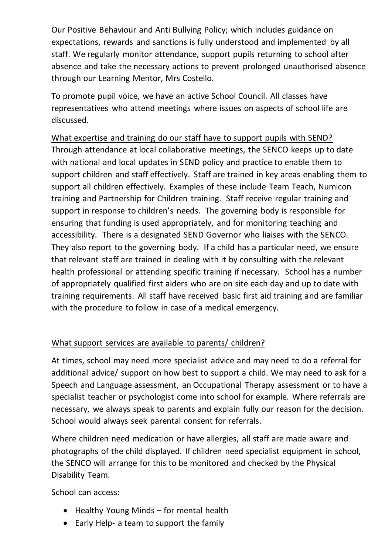Our Positive Behaviour and Anti Bullying Policy; which includes guidance on expectations, rewards and sanctions is fully understood and implemented by all staff. We regularly monitor attendance, support pupils returning to school after absence and take the necessary actions to prevent prolonged unauthorised absence through our Learning Mentor, Mrs Costello.

To promote pupil voice, we have an active School Council. All classes have representatives who attend meetings where issues on aspects of school life are discussed.

What expertise and training do our staff have to support pupils with SEND? Through attendance at local collaborative meetings, the SENCO keeps up to date with national and local updates in SEND policy and practice to enable them to support children and staff effectively. Staff are trained in key areas enabling them to support all children effectively. Examples of these include Team Teach, Numicon training and Partnership for Children training. Staff receive regular training and support in response to children's needs. The governing body is responsible for ensuring that funding is used appropriately, and for monitoring teaching and accessibility. There is a designated SEND Governor who liaises with the SENCO. They also report to the governing body. If a child has a particular need, we ensure that relevant staff are trained in dealing with it by consulting with the relevant health professional or attending specific training if necessary. School has a number of appropriately qualified first aiders who are on site each day and up to date with training requirements. All staff have received basic first aid training and are familiar with the procedure to follow in case of a medical emergency.

### What support services are available to parents/ children?

At times, school may need more specialist advice and may need to do a referral for additional advice/ support on how best to support a child. We may need to ask for a Speech and Language assessment, an Occupational Therapy assessment or to have a specialist teacher or psychologist come into school for example. Where referrals are necessary, we always speak to parents and explain fully our reason for the decision. School would always seek parental consent for referrals.

Where children need medication or have allergies, all staff are made aware and photographs of the child displayed. If children need specialist equipment in school, the SENCO will arrange for this to be monitored and checked by the Physical Disability Team.

School can access:

- Healthy Young Minds for mental health
- Early Help- a team to support the family